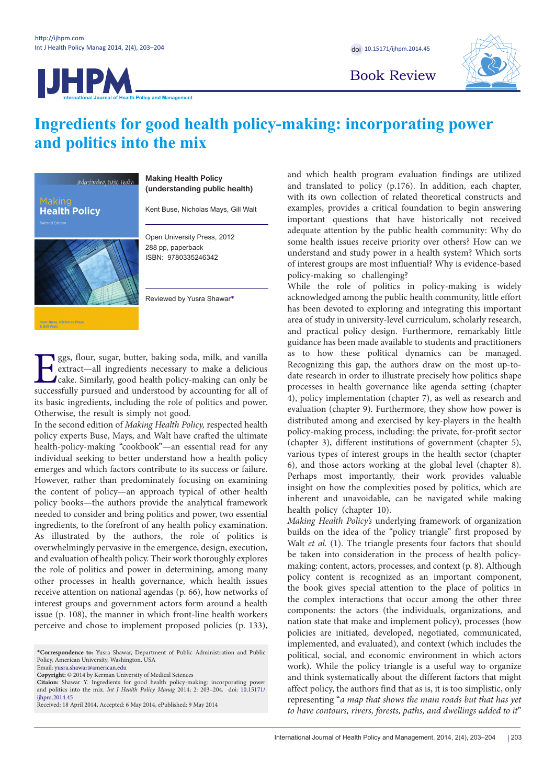# **JHPM**



Book Review

## **Ingredients for good health policy-making: incorporating power and politics into the mix**



**Kent Buse, Nicholas Mays** 

### **Making Health Policy (understanding public health)**

Kent Buse, Nicholas Mays, Gill Walt

Open University Press, 2012 288 pp, paperback ISBN: 9780335246342

Reviewed by Yusra Shawar[\\*](#page-0-0)

Eggs, flour, sugar, butter, baking soda, milk, and vanilla<br>extract—all ingredients necessary to make a delicious<br>cake. Similarly, good health policy-making can only be<br>successfully pursued and understood by accounting for extract—all ingredients necessary to make a delicious cake. Similarly, good health policy-making can only be successfully pursued and understood by accounting for all of its basic ingredients, including the role of politics and power. Otherwise, the result is simply not good.

In the second edition of *Making Health Policy,* respected health policy experts Buse, Mays, and Walt have crafted the ultimate health-policy-making "cookbook"—an essential read for any individual seeking to better understand how a health policy emerges and which factors contribute to its success or failure. However, rather than predominately focusing on examining the content of policy—an approach typical of other health policy books—the authors provide the analytical framework needed to consider and bring politics and power, two essential ingredients, to the forefront of any health policy examination. As illustrated by the authors, the role of politics is overwhelmingly pervasive in the emergence, design, execution, and evaluation of health policy. Their work thoroughly explores the role of politics and power in determining, among many other processes in health governance, which health issues receive attention on national agendas (p. 66), how networks of interest groups and government actors form around a health issue (p. 108), the manner in which front-line health workers perceive and chose to implement proposed policies (p. 133), and which health program evaluation findings are utilized and translated to policy (p.176). In addition, each chapter, with its own collection of related theoretical constructs and examples, provides a critical foundation to begin answering important questions that have historically not received adequate attention by the public health community: Why do some health issues receive priority over others? How can we understand and study power in a health system? Which sorts of interest groups are most influential? Why is evidence-based policy-making so challenging?

While the role of politics in policy-making is widely acknowledged among the public health community, little effort has been devoted to exploring and integrating this important area of study in university-level curriculum, scholarly research, and practical policy design. Furthermore, remarkably little guidance has been made available to students and practitioners as to how these political dynamics can be managed. Recognizing this gap, the authors draw on the most up-todate research in order to illustrate precisely how politics shape processes in health governance like agenda setting (chapter 4), policy implementation (chapter 7), as well as research and evaluation (chapter 9). Furthermore, they show how power is distributed among and exercised by key-players in the health policy-making process, including: the private, for-profit sector (chapter 3), different institutions of government (chapter 5), various types of interest groups in the health sector (chapter 6), and those actors working at the global level (chapter 8). Perhaps most importantly, their work provides valuable insight on how the complexities posed by politics, which are inherent and unavoidable, can be navigated while making health policy (chapter 10).

*Making Health Policy's* underlying framework of organization builds on the idea of the "policy triangle" first proposed by Walt *et al.* ([1\)](#page-1-0). The triangle presents four factors that should be taken into consideration in the process of health policymaking: content, actors, processes, and context (p. 8). Although policy content is recognized as an important component, the book gives special attention to the place of politics in the complex interactions that occur among the other three components: the actors (the individuals, organizations, and nation state that make and implement policy), processes (how policies are initiated, developed, negotiated, communicated, implemented, and evaluated), and context (which includes the political, social, and economic environment in which actors work). While the policy triangle is a useful way to organize and think systematically about the different factors that might affect policy, the authors find that as is, it is too simplistic, only representing "*a map that shows the main roads but that has yet to have contours, rivers, forests, paths, and dwellings added to it*"

<span id="page-0-0"></span><sup>\*</sup>**Correspondence to:** Yusra Shawar, Department of Public Administration and Public Policy, American University, Washington, USA

Email: yusra.shawar@american.edu

**Copyright:** © 2014 by Kerman University of Medical Sciences **Citaion:** Shawar Y. Ingredients for good health policy-making: incorporating power

and politics into the mix. *Int J Health Policy Manag* 2014; 2: 203–204. doi: [10.15171/](http://dx.doi.org/10.15171/ijhpm.2014.45) [ijhpm.2014.45](http://dx.doi.org/10.15171/ijhpm.2014.45)

Received: 18 April 2014, Accepted: 6 May 2014, ePublished: 9 May 2014